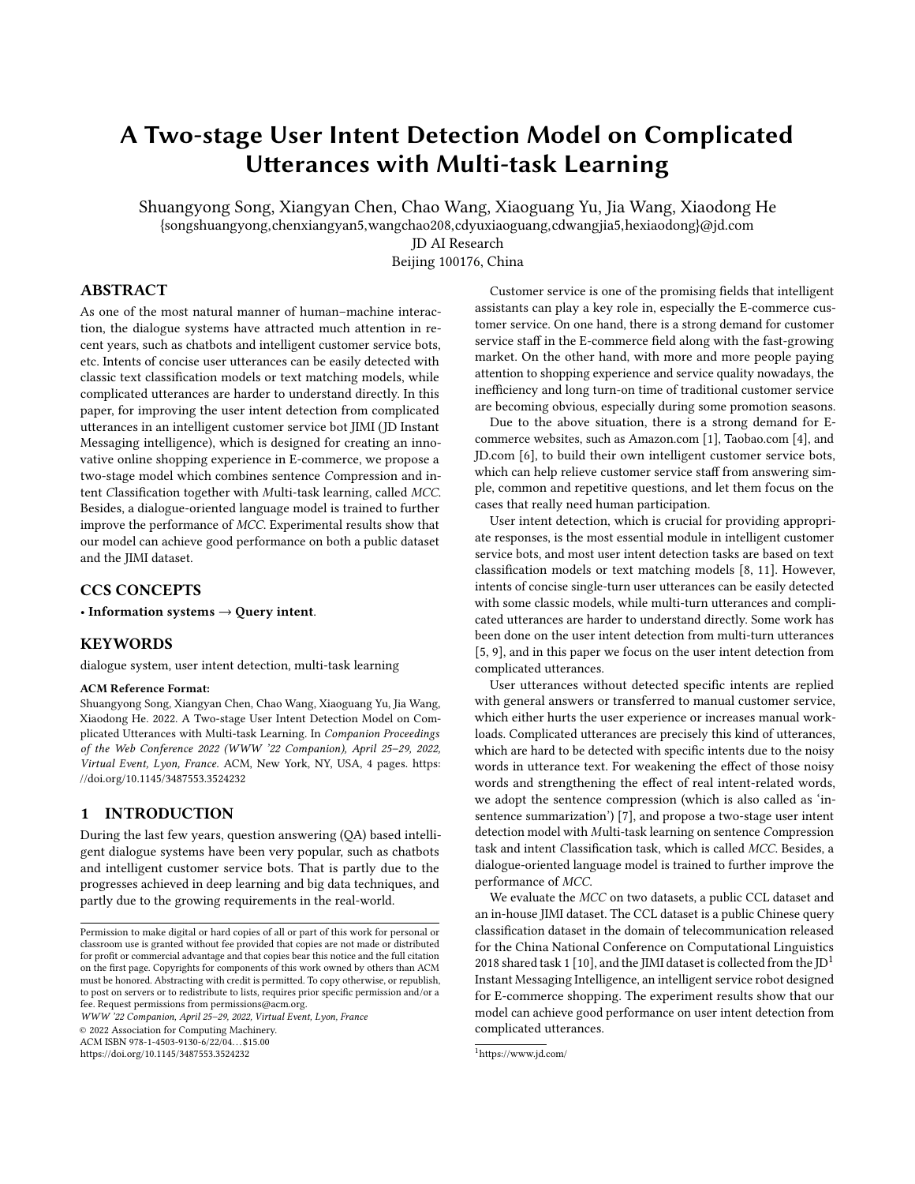# A Two-stage User Intent Detection Model on Complicated Utterances with Multi-task Learning

Shuangyong Song, Xiangyan Chen, Chao Wang, Xiaoguang Yu, Jia Wang, Xiaodong He

{songshuangyong,chenxiangyan5,wangchao208,cdyuxiaoguang,cdwangjia5,hexiaodong}@jd.com

JD AI Research

Beijing 100176, China

# ABSTRACT

As one of the most natural manner of human–machine interaction, the dialogue systems have attracted much attention in recent years, such as chatbots and intelligent customer service bots, etc. Intents of concise user utterances can be easily detected with classic text classification models or text matching models, while complicated utterances are harder to understand directly. In this paper, for improving the user intent detection from complicated utterances in an intelligent customer service bot JIMI (JD Instant Messaging intelligence), which is designed for creating an innovative online shopping experience in E-commerce, we propose a two-stage model which combines sentence Compression and intent Classification together with Multi-task learning, called MCC. Besides, a dialogue-oriented language model is trained to further improve the performance of MCC. Experimental results show that our model can achieve good performance on both a public dataset and the JIMI dataset.

# CCS CONCEPTS

• Information systems → Query intent.

# **KEYWORDS**

dialogue system, user intent detection, multi-task learning

#### ACM Reference Format:

Shuangyong Song, Xiangyan Chen, Chao Wang, Xiaoguang Yu, Jia Wang, Xiaodong He. 2022. A Two-stage User Intent Detection Model on Complicated Utterances with Multi-task Learning. In Companion Proceedings of the Web Conference 2022 (WWW '22 Companion), April 25–29, 2022, Virtual Event, Lyon, France. ACM, New York, NY, USA, [4](#page-3-0) pages. [https:](https://doi.org/10.1145/3487553.3524232) [//doi.org/10.1145/3487553.3524232](https://doi.org/10.1145/3487553.3524232)

# 1 INTRODUCTION

During the last few years, question answering (QA) based intelligent dialogue systems have been very popular, such as chatbots and intelligent customer service bots. That is partly due to the progresses achieved in deep learning and big data techniques, and partly due to the growing requirements in the real-world.

WWW '22 Companion, April 25–29, 2022, Virtual Event, Lyon, France

© 2022 Association for Computing Machinery.

ACM ISBN 978-1-4503-9130-6/22/04. . . \$15.00

<https://doi.org/10.1145/3487553.3524232>

Customer service is one of the promising fields that intelligent assistants can play a key role in, especially the E-commerce customer service. On one hand, there is a strong demand for customer service staff in the E-commerce field along with the fast-growing market. On the other hand, with more and more people paying attention to shopping experience and service quality nowadays, the inefficiency and long turn-on time of traditional customer service are becoming obvious, especially during some promotion seasons.

Due to the above situation, there is a strong demand for Ecommerce websites, such as Amazon.com [\[1\]](#page-3-1), Taobao.com [\[4\]](#page-3-2), and JD.com [\[6\]](#page-3-3), to build their own intelligent customer service bots, which can help relieve customer service staff from answering simple, common and repetitive questions, and let them focus on the cases that really need human participation.

User intent detection, which is crucial for providing appropriate responses, is the most essential module in intelligent customer service bots, and most user intent detection tasks are based on text classification models or text matching models [\[8,](#page-3-4) [11\]](#page-3-5). However, intents of concise single-turn user utterances can be easily detected with some classic models, while multi-turn utterances and complicated utterances are harder to understand directly. Some work has been done on the user intent detection from multi-turn utterances [\[5,](#page-3-6) [9\]](#page-3-7), and in this paper we focus on the user intent detection from complicated utterances.

User utterances without detected specific intents are replied with general answers or transferred to manual customer service, which either hurts the user experience or increases manual workloads. Complicated utterances are precisely this kind of utterances, which are hard to be detected with specific intents due to the noisy words in utterance text. For weakening the effect of those noisy words and strengthening the effect of real intent-related words, we adopt the sentence compression (which is also called as 'insentence summarization') [\[7\]](#page-3-8), and propose a two-stage user intent detection model with Multi-task learning on sentence Compression task and intent Classification task, which is called MCC. Besides, a dialogue-oriented language model is trained to further improve the performance of MCC.

We evaluate the MCC on two datasets, a public CCL dataset and an in-house JIMI dataset. The CCL dataset is a public Chinese query classification dataset in the domain of telecommunication released for the China National Conference on Computational Linguistics 2018 shared task 1 [\[10\]](#page-3-9), and the JIMI dataset is collected from the JD<sup>[1](#page-0-0)</sup> Instant Messaging Intelligence, an intelligent service robot designed for E-commerce shopping. The experiment results show that our model can achieve good performance on user intent detection from complicated utterances.

Permission to make digital or hard copies of all or part of this work for personal or classroom use is granted without fee provided that copies are not made or distributed for profit or commercial advantage and that copies bear this notice and the full citation on the first page. Copyrights for components of this work owned by others than ACM must be honored. Abstracting with credit is permitted. To copy otherwise, or republish, to post on servers or to redistribute to lists, requires prior specific permission and/or a fee. Request permissions from permissions@acm.org.

<span id="page-0-0"></span><sup>1</sup>https://www.jd.com/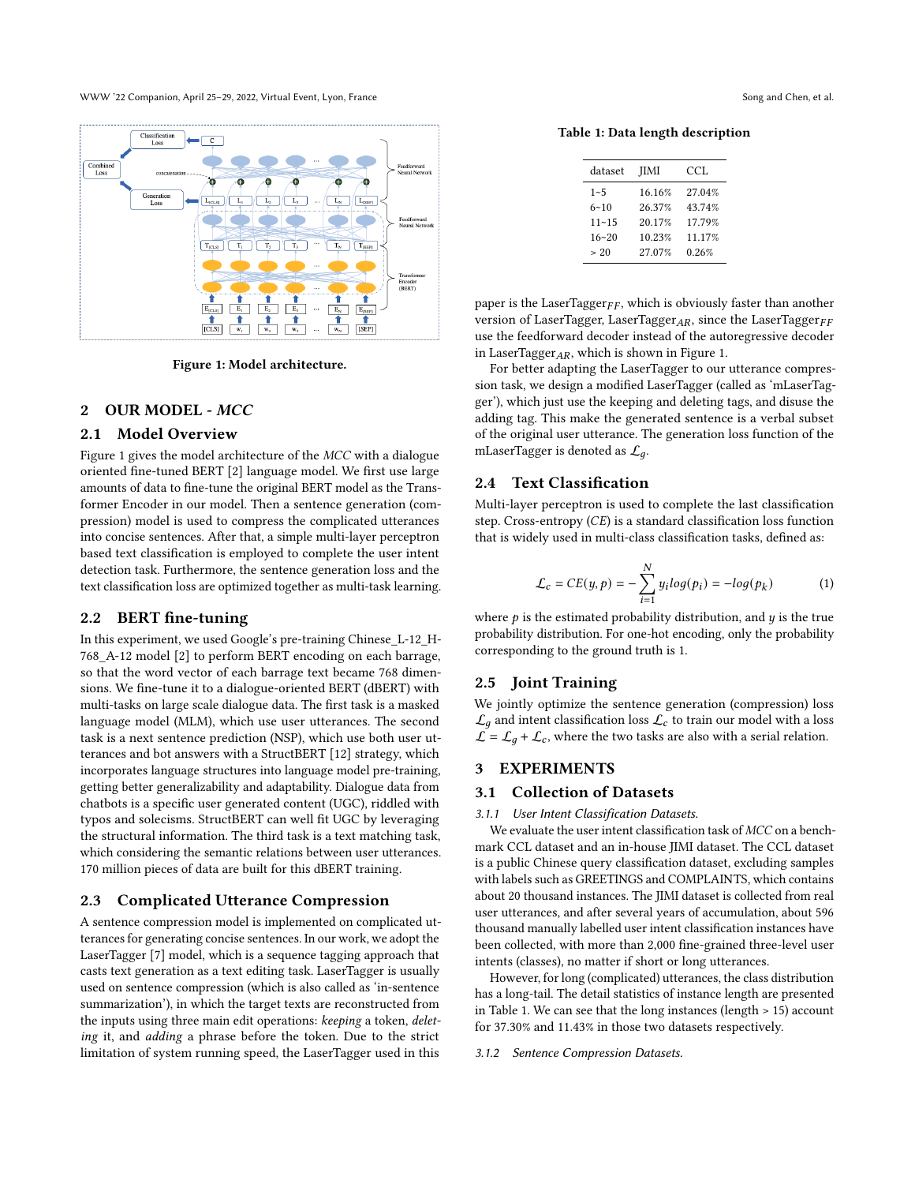WWW '22 Companion, April 25–29, 2022, Virtual Event, Lyon, France Song and Chen, et al. Song and Chen, et al.

<span id="page-1-0"></span>

Figure 1: Model architecture.

## 2 OUR MODEL - MCC

## 2.1 Model Overview

Figure [1](#page-1-0) gives the model architecture of the MCC with a dialogue oriented fine-tuned BERT [\[2\]](#page-3-10) language model. We first use large amounts of data to fine-tune the original BERT model as the Transformer Encoder in our model. Then a sentence generation (compression) model is used to compress the complicated utterances into concise sentences. After that, a simple multi-layer perceptron based text classification is employed to complete the user intent detection task. Furthermore, the sentence generation loss and the text classification loss are optimized together as multi-task learning.

## <span id="page-1-2"></span>2.2 BERT fine-tuning

In this experiment, we used Google's pre-training Chinese\_L-12\_H-768\_A-12 model [\[2\]](#page-3-10) to perform BERT encoding on each barrage, so that the word vector of each barrage text became 768 dimensions. We fine-tune it to a dialogue-oriented BERT (dBERT) with multi-tasks on large scale dialogue data. The first task is a masked language model (MLM), which use user utterances. The second task is a next sentence prediction (NSP), which use both user utterances and bot answers with a StructBERT [\[12\]](#page-3-11) strategy, which incorporates language structures into language model pre-training, getting better generalizability and adaptability. Dialogue data from chatbots is a specific user generated content (UGC), riddled with typos and solecisms. StructBERT can well fit UGC by leveraging the structural information. The third task is a text matching task, which considering the semantic relations between user utterances. 170 million pieces of data are built for this dBERT training.

# 2.3 Complicated Utterance Compression

A sentence compression model is implemented on complicated utterances for generating concise sentences. In our work, we adopt the LaserTagger [\[7\]](#page-3-8) model, which is a sequence tagging approach that casts text generation as a text editing task. LaserTagger is usually used on sentence compression (which is also called as 'in-sentence summarization'), in which the target texts are reconstructed from the inputs using three main edit operations: keeping a token, deleting it, and adding a phrase before the token. Due to the strict limitation of system running speed, the LaserTagger used in this

<span id="page-1-1"></span>Table 1: Data length description

| dataset   | <b>IIMI</b> | CCL    |
|-----------|-------------|--------|
| $1 - 5$   | 16 16%      | 27.04% |
| $6 - 10$  | 2637%       | 43.74% |
| $11 - 15$ | 20.17%      | 1779%  |
| $16 - 20$ | 10.23%      | 11.17% |
| > 20      | 27.07%      | 0.26%  |

paper is the LaserTagger  $_{FF}$ , which is obviously faster than another version of LaserTagger, LaserTagger<sub>AR</sub>, since the LaserTagger<sub>FF</sub> use the feedforward decoder instead of the autoregressive decoder in LaserTagger $_{AR}$ , which is shown in Figure [1.](#page-1-0)

For better adapting the LaserTagger to our utterance compression task, we design a modified LaserTagger (called as 'mLaserTagger'), which just use the keeping and deleting tags, and disuse the adding tag. This make the generated sentence is a verbal subset of the original user utterance. The generation loss function of the mLaserTagger is denoted as  $\mathcal{L}_q$ .

# 2.4 Text Classification

Multi-layer perceptron is used to complete the last classification step. Cross-entropy  $(CE)$  is a standard classification loss function that is widely used in multi-class classification tasks, defined as:

$$
\mathcal{L}_c = CE(y, p) = -\sum_{i=1}^{N} y_i log(p_i) = -log(p_k)
$$
 (1)

where  $p$  is the estimated probability distribution, and  $y$  is the true probability distribution. For one-hot encoding, only the probability corresponding to the ground truth is 1.

#### 2.5 Joint Training

We jointly optimize the sentence generation (compression) loss  $\mathcal{L}_q$  and intent classification loss  $\mathcal{L}_c$  to train our model with a loss  $\mathcal{L} = \mathcal{L}_q + \mathcal{L}_c$ , where the two tasks are also with a serial relation.

## 3 EXPERIMENTS

#### 3.1 Collection of Datasets

3.1.1 User Intent Classification Datasets.

We evaluate the user intent classification task of MCC on a benchmark CCL dataset and an in-house JIMI dataset. The CCL dataset is a public Chinese query classification dataset, excluding samples with labels such as GREETINGS and COMPLAINTS, which contains about 20 thousand instances. The JIMI dataset is collected from real user utterances, and after several years of accumulation, about 596 thousand manually labelled user intent classification instances have been collected, with more than 2,000 fine-grained three-level user intents (classes), no matter if short or long utterances.

However, for long (complicated) utterances, the class distribution has a long-tail. The detail statistics of instance length are presented in Table [1.](#page-1-1) We can see that the long instances (length > 15) account for 37.30% and 11.43% in those two datasets respectively.

#### 3.1.2 Sentence Compression Datasets.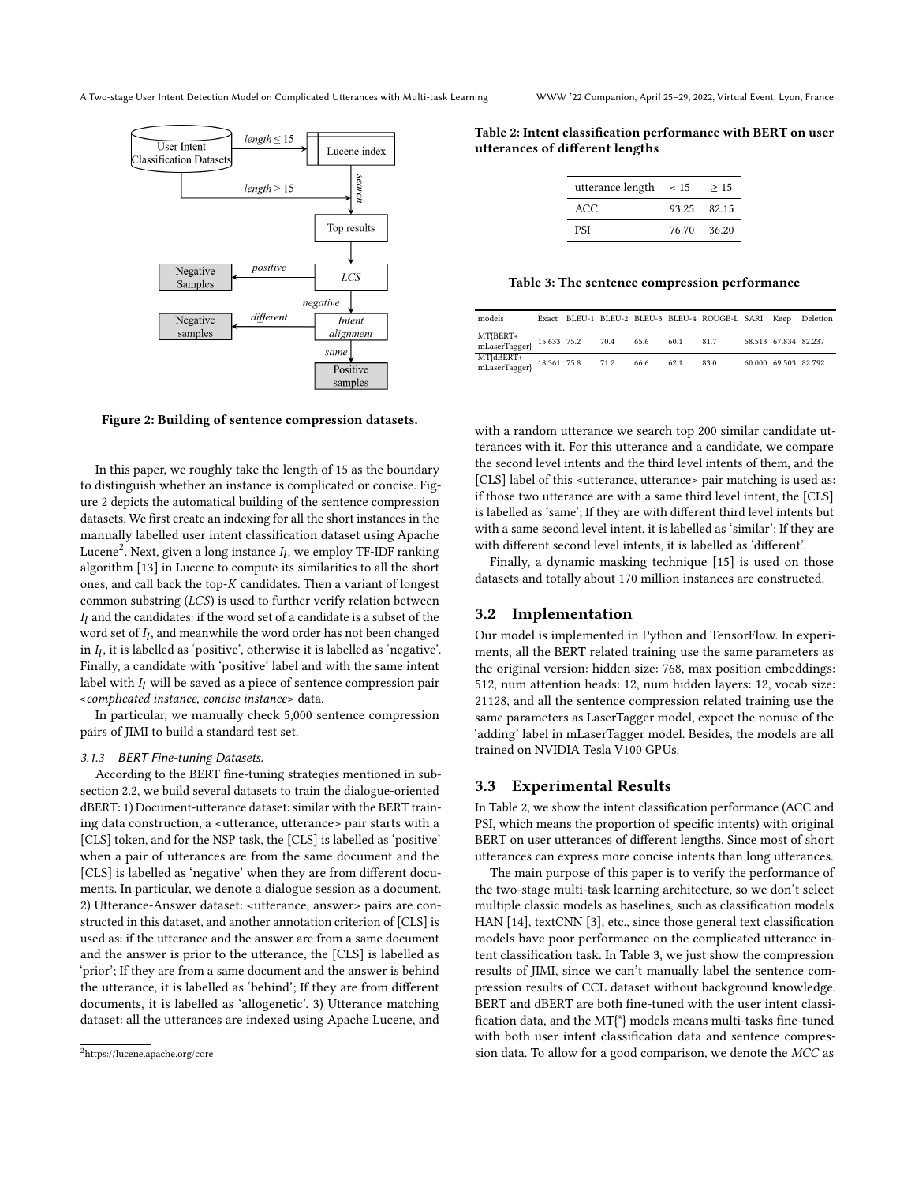<span id="page-2-0"></span>

Figure 2: Building of sentence compression datasets.

In this paper, we roughly take the length of 15 as the boundary to distinguish whether an instance is complicated or concise. Figure [2](#page-2-0) depicts the automatical building of the sentence compression datasets. We first create an indexing for all the short instances in the manually labelled user intent classification dataset using Apache Lucene $^2$  $^2$ . Next, given a long instance  $I_l$ , we employ TF-IDF ranking algorithm [\[13\]](#page-3-12) in Lucene to compute its similarities to all the short ones, and call back the top-K candidates. Then a variant of longest common substring  $(LCS)$  is used to further verify relation between  $I_l$  and the candidates: if the word set of a candidate is a subset of the word set of  $I_l$ , and meanwhile the word order has not been changed in  $I_l$ , it is labelled as 'positive', otherwise it is labelled as 'negative'. Finally, a candidate with 'positive' label and with the same intent label with  $I_l$  will be saved as a piece of sentence compression pair <complicated instance, concise instance> data.

In particular, we manually check 5,000 sentence compression pairs of JIMI to build a standard test set.

#### 3.1.3 BERT Fine-tuning Datasets.

According to the BERT fine-tuning strategies mentioned in subsection [2.2,](#page-1-2) we build several datasets to train the dialogue-oriented dBERT: 1) Document-utterance dataset: similar with the BERT training data construction, a <utterance, utterance> pair starts with a [CLS] token, and for the NSP task, the [CLS] is labelled as 'positive' when a pair of utterances are from the same document and the [CLS] is labelled as 'negative' when they are from different documents. In particular, we denote a dialogue session as a document. 2) Utterance-Answer dataset: <utterance, answer> pairs are constructed in this dataset, and another annotation criterion of [CLS] is used as: if the utterance and the answer are from a same document and the answer is prior to the utterance, the [CLS] is labelled as 'prior'; If they are from a same document and the answer is behind the utterance, it is labelled as 'behind'; If they are from different documents, it is labelled as 'allogenetic'. 3) Utterance matching dataset: all the utterances are indexed using Apache Lucene, and

<span id="page-2-2"></span>Table 2: Intent classification performance with BERT on user utterances of different lengths

| utterance length | $\leq 15$ | >15         |  |
|------------------|-----------|-------------|--|
| ACC.             |           | 93 25 82 15 |  |
| <b>PSI</b>       | 76.70     | 36.20       |  |

<span id="page-2-3"></span>Table 3: The sentence compression performance

| models                     |                  |      |      | Exact BLEU-1 BLEU-2 BLEU-3 BLEU-4 ROUGE-L SARI Keep Deletion |                      |  |
|----------------------------|------------------|------|------|--------------------------------------------------------------|----------------------|--|
| MT{BERT+<br>mLaserTagger}  | 15.633 75.2 70.4 | 65.6 | 60.1 | 81.7                                                         | 58.513 67.834 82.237 |  |
| MT{dBERT+<br>mLaserTagger} | 18.361 75.8 71.2 | 66.6 | 62.1 | 83.0                                                         | 60,000 69.503 82.792 |  |

with a random utterance we search top 200 similar candidate utterances with it. For this utterance and a candidate, we compare the second level intents and the third level intents of them, and the [CLS] label of this <utterance, utterance> pair matching is used as: if those two utterance are with a same third level intent, the [CLS] is labelled as 'same'; If they are with different third level intents but with a same second level intent, it is labelled as 'similar'; If they are with different second level intents, it is labelled as 'different'.

Finally, a dynamic masking technique [\[15\]](#page-3-13) is used on those datasets and totally about 170 million instances are constructed.

## 3.2 Implementation

Our model is implemented in Python and TensorFlow. In experiments, all the BERT related training use the same parameters as the original version: hidden size: 768, max position embeddings: 512, num attention heads: 12, num hidden layers: 12, vocab size: 21128, and all the sentence compression related training use the same parameters as LaserTagger model, expect the nonuse of the 'adding' label in mLaserTagger model. Besides, the models are all trained on NVIDIA Tesla V100 GPUs.

## 3.3 Experimental Results

In Table [2,](#page-2-2) we show the intent classification performance (ACC and PSI, which means the proportion of specific intents) with original BERT on user utterances of different lengths. Since most of short utterances can express more concise intents than long utterances.

The main purpose of this paper is to verify the performance of the two-stage multi-task learning architecture, so we don't select multiple classic models as baselines, such as classification models HAN [\[14\]](#page-3-14), textCNN [\[3\]](#page-3-15), etc., since those general text classification models have poor performance on the complicated utterance intent classification task. In Table [3,](#page-2-3) we just show the compression results of JIMI, since we can't manually label the sentence compression results of CCL dataset without background knowledge. BERT and dBERT are both fine-tuned with the user intent classification data, and the MT{\*} models means multi-tasks fine-tuned with both user intent classification data and sentence compression data. To allow for a good comparison, we denote the MCC as

<span id="page-2-1"></span><sup>2</sup>https://lucene.apache.org/core